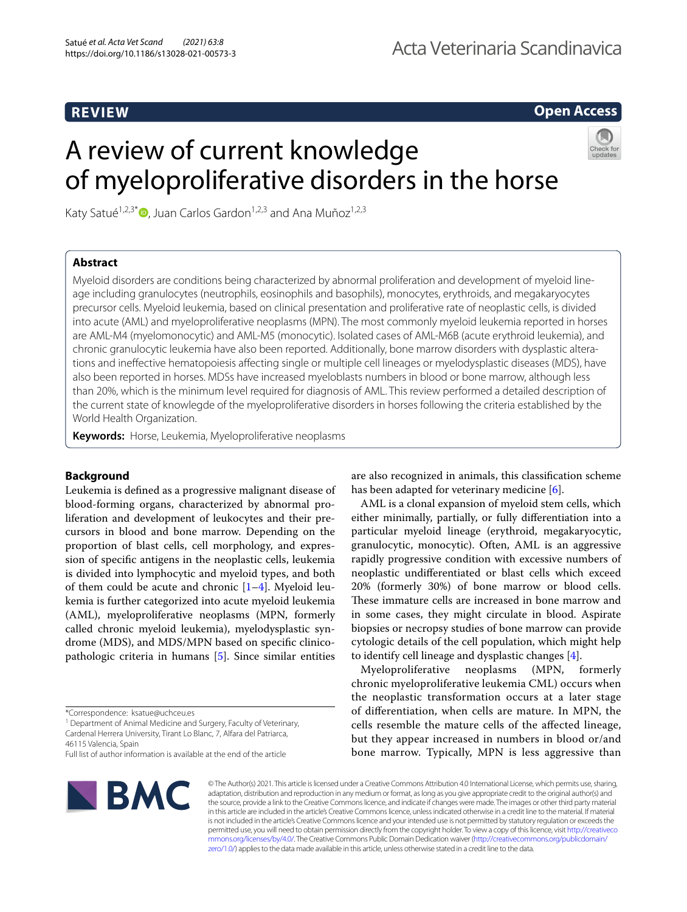**Open Access**

# A review of current knowledge of myeloproliferative disorders in the horse



Katy Satué<sup>1,2,3\*</sup> $\bullet$ [,](http://orcid.org/0000-0002-3168-0104) Juan Carlos Gardon<sup>1,2,3</sup> and Ana Muñoz<sup>1,2,3</sup>

## **Abstract**

Myeloid disorders are conditions being characterized by abnormal proliferation and development of myeloid lineage including granulocytes (neutrophils, eosinophils and basophils), monocytes, erythroids, and megakaryocytes precursor cells. Myeloid leukemia, based on clinical presentation and proliferative rate of neoplastic cells, is divided into acute (AML) and myeloproliferative neoplasms (MPN). The most commonly myeloid leukemia reported in horses are AML-M4 (myelomonocytic) and AML-M5 (monocytic). Isolated cases of AML-M6B (acute erythroid leukemia), and chronic granulocytic leukemia have also been reported. Additionally, bone marrow disorders with dysplastic alterations and inefective hematopoiesis afecting single or multiple cell lineages or myelodysplastic diseases (MDS), have also been reported in horses. MDSs have increased myeloblasts numbers in blood or bone marrow, although less than 20%, which is the minimum level required for diagnosis of AML. This review performed a detailed description of the current state of knowlegde of the myeloproliferative disorders in horses following the criteria established by the World Health Organization.

**Keywords:** Horse, Leukemia, Myeloproliferative neoplasms

## **Background**

Leukemia is defned as a progressive malignant disease of blood-forming organs, characterized by abnormal proliferation and development of leukocytes and their precursors in blood and bone marrow. Depending on the proportion of blast cells, cell morphology, and expression of specifc antigens in the neoplastic cells, leukemia is divided into lymphocytic and myeloid types, and both of them could be acute and chronic  $[1-4]$  $[1-4]$ . Myeloid leukemia is further categorized into acute myeloid leukemia (AML), myeloproliferative neoplasms (MPN, formerly called chronic myeloid leukemia), myelodysplastic syndrome (MDS), and MDS/MPN based on specifc clinicopathologic criteria in humans [[5\]](#page-9-2). Since similar entities

<sup>1</sup> Department of Animal Medicine and Surgery, Faculty of Veterinary, Cardenal Herrera University, Tirant Lo Blanc, 7, Alfara del Patriarca, 46115 Valencia, Spain

are also recognized in animals, this classifcation scheme has been adapted for veterinary medicine [[6\]](#page-9-3).

AML is a clonal expansion of myeloid stem cells, which either minimally, partially, or fully diferentiation into a particular myeloid lineage (erythroid, megakaryocytic, granulocytic, monocytic). Often, AML is an aggressive rapidly progressive condition with excessive numbers of neoplastic undiferentiated or blast cells which exceed 20% (formerly 30%) of bone marrow or blood cells. These immature cells are increased in bone marrow and in some cases, they might circulate in blood. Aspirate biopsies or necropsy studies of bone marrow can provide cytologic details of the cell population, which might help to identify cell lineage and dysplastic changes [[4\]](#page-9-1).

Myeloproliferative neoplasms (MPN, formerly chronic myeloproliferative leukemia CML) occurs when the neoplastic transformation occurs at a later stage of diferentiation, when cells are mature. In MPN, the cells resemble the mature cells of the afected lineage, but they appear increased in numbers in blood or/and bone marrow. Typically, MPN is less aggressive than



© The Author(s) 2021. This article is licensed under a Creative Commons Attribution 4.0 International License, which permits use, sharing, adaptation, distribution and reproduction in any medium or format, as long as you give appropriate credit to the original author(s) and the source, provide a link to the Creative Commons licence, and indicate if changes were made. The images or other third party material in this article are included in the article's Creative Commons licence, unless indicated otherwise in a credit line to the material. If material is not included in the article's Creative Commons licence and your intended use is not permitted by statutory regulation or exceeds the permitted use, you will need to obtain permission directly from the copyright holder. To view a copy of this licence, visit [http://creativeco](http://creativecommons.org/licenses/by/4.0/) [mmons.org/licenses/by/4.0/.](http://creativecommons.org/licenses/by/4.0/) The Creative Commons Public Domain Dedication waiver ([http://creativecommons.org/publicdomain/](http://creativecommons.org/publicdomain/zero/1.0/) [zero/1.0/\)](http://creativecommons.org/publicdomain/zero/1.0/) applies to the data made available in this article, unless otherwise stated in a credit line to the data.

<sup>\*</sup>Correspondence: ksatue@uchceu.es

Full list of author information is available at the end of the article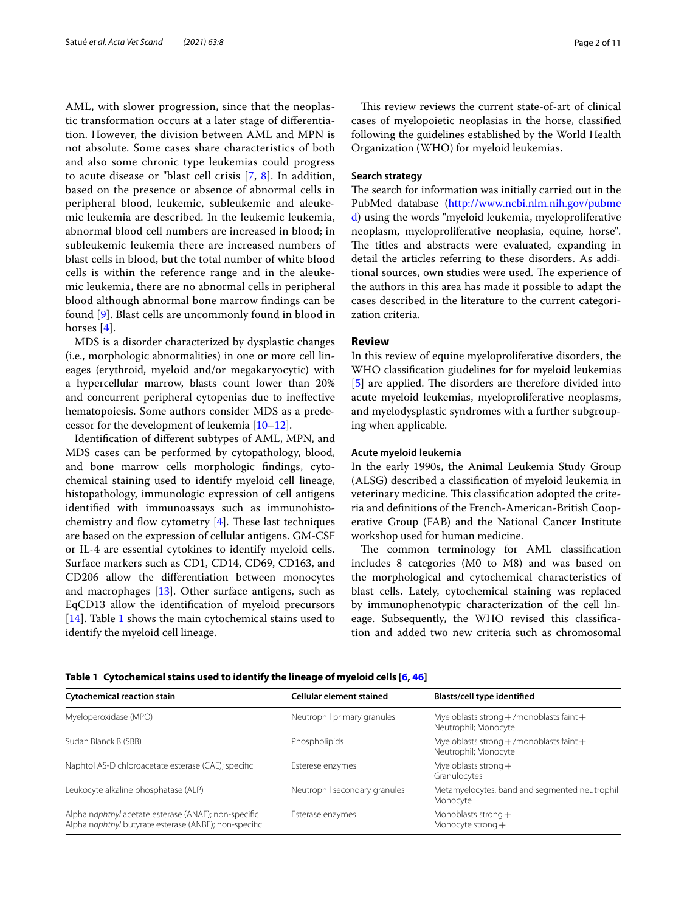AML, with slower progression, since that the neoplastic transformation occurs at a later stage of diferentiation. However, the division between AML and MPN is not absolute. Some cases share characteristics of both and also some chronic type leukemias could progress to acute disease or "blast cell crisis [\[7](#page-9-4), [8](#page-9-5)]. In addition, based on the presence or absence of abnormal cells in peripheral blood, leukemic, subleukemic and aleukemic leukemia are described. In the leukemic leukemia, abnormal blood cell numbers are increased in blood; in subleukemic leukemia there are increased numbers of blast cells in blood, but the total number of white blood cells is within the reference range and in the aleukemic leukemia, there are no abnormal cells in peripheral blood although abnormal bone marrow fndings can be found [\[9](#page-9-6)]. Blast cells are uncommonly found in blood in horses [[4\]](#page-9-1).

MDS is a disorder characterized by dysplastic changes (i.e., morphologic abnormalities) in one or more cell lineages (erythroid, myeloid and/or megakaryocytic) with a hypercellular marrow, blasts count lower than 20% and concurrent peripheral cytopenias due to inefective hematopoiesis. Some authors consider MDS as a predecessor for the development of leukemia [\[10](#page-9-7)[–12\]](#page-9-8).

Identifcation of diferent subtypes of AML, MPN, and MDS cases can be performed by cytopathology, blood, and bone marrow cells morphologic fndings, cytochemical staining used to identify myeloid cell lineage, histopathology, immunologic expression of cell antigens identifed with immunoassays such as immunohistochemistry and flow cytometry  $[4]$  $[4]$ . These last techniques are based on the expression of cellular antigens. GM-CSF or IL-4 are essential cytokines to identify myeloid cells. Surface markers such as CD1, CD14, CD69, CD163, and CD206 allow the diferentiation between monocytes and macrophages [\[13](#page-9-9)]. Other surface antigens, such as EqCD13 allow the identifcation of myeloid precursors [[14\]](#page-9-10). Table [1](#page-1-0) shows the main cytochemical stains used to identify the myeloid cell lineage.

This review reviews the current state-of-art of clinical cases of myelopoietic neoplasias in the horse, classifed following the guidelines established by the World Health Organization (WHO) for myeloid leukemias.

#### **Search strategy**

The search for information was initially carried out in the PubMed database ([http://www.ncbi.nlm.nih.gov/pubme](http://www.ncbi.nlm.nih.gov/pubmed) [d](http://www.ncbi.nlm.nih.gov/pubmed)) using the words "myeloid leukemia, myeloproliferative neoplasm, myeloproliferative neoplasia, equine, horse". The titles and abstracts were evaluated, expanding in detail the articles referring to these disorders. As additional sources, own studies were used. The experience of the authors in this area has made it possible to adapt the cases described in the literature to the current categorization criteria.

#### **Review**

In this review of equine myeloproliferative disorders, the WHO classifcation giudelines for for myeloid leukemias [[5\]](#page-9-2) are applied. The disorders are therefore divided into acute myeloid leukemias, myeloproliferative neoplasms, and myelodysplastic syndromes with a further subgrouping when applicable.

#### **Acute myeloid leukemia**

In the early 1990s, the Animal Leukemia Study Group (ALSG) described a classifcation of myeloid leukemia in veterinary medicine. This classification adopted the criteria and defnitions of the French-American-British Cooperative Group (FAB) and the National Cancer Institute workshop used for human medicine.

The common terminology for AML classification includes 8 categories (M0 to M8) and was based on the morphological and cytochemical characteristics of blast cells. Lately, cytochemical staining was replaced by immunophenotypic characterization of the cell lineage. Subsequently, the WHO revised this classifcation and added two new criteria such as chromosomal

| <b>Cytochemical reaction stain</b>                                                                            | Cellular element stained      | Blasts/cell type identified                                          |
|---------------------------------------------------------------------------------------------------------------|-------------------------------|----------------------------------------------------------------------|
| Myeloperoxidase (MPO)                                                                                         | Neutrophil primary granules   | Myeloblasts strong $+$ /monoblasts faint $+$<br>Neutrophil; Monocyte |
| Sudan Blanck B (SBB)                                                                                          | Phospholipids                 | Myeloblasts strong $+$ /monoblasts faint $+$<br>Neutrophil; Monocyte |
| Naphtol AS-D chloroacetate esterase (CAE); specific                                                           | Esterese enzymes              | Myeloblasts strong $+$<br>Granulocytes                               |
| Leukocyte alkaline phosphatase (ALP)                                                                          | Neutrophil secondary granules | Metamyelocytes, band and segmented neutrophil<br>Monocyte            |
| Alpha naphthyl acetate esterase (ANAE); non-specific<br>Alpha naphthyl butyrate esterase (ANBE); non-specific | Esterase enzymes              | Monoblasts strong $+$<br>Monocyte strong $+$                         |

<span id="page-1-0"></span>**Table 1 Cytochemical stains used to identify the lineage of myeloid cells [[6,](#page-9-3) [46\]](#page-9-11)**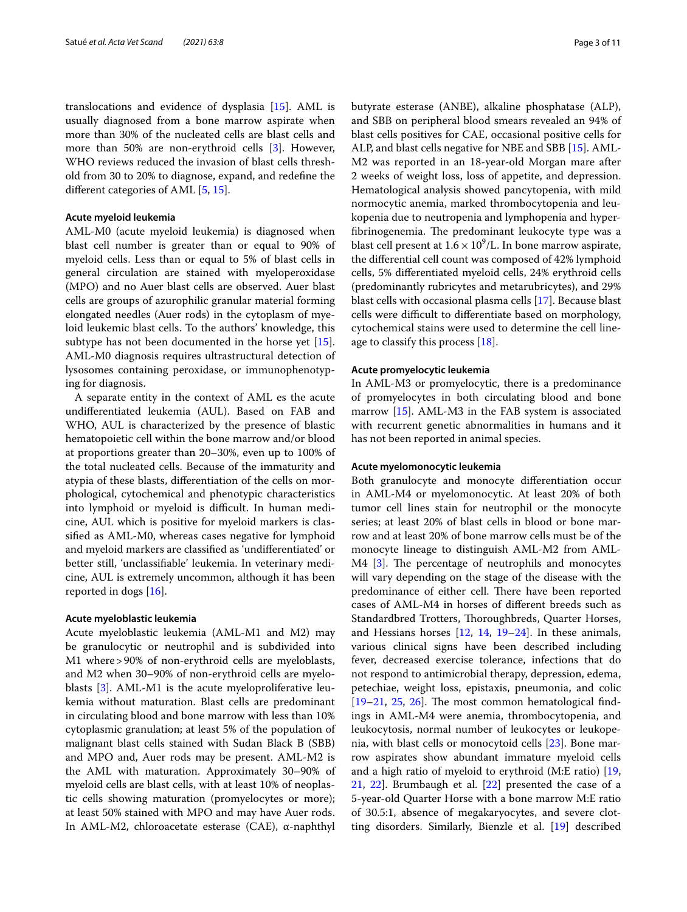translocations and evidence of dysplasia [\[15](#page-9-12)]. AML is usually diagnosed from a bone marrow aspirate when more than 30% of the nucleated cells are blast cells and more than 50% are non-erythroid cells [\[3](#page-9-13)]. However, WHO reviews reduced the invasion of blast cells threshold from 30 to 20% to diagnose, expand, and redefne the diferent categories of AML [\[5,](#page-9-2) [15](#page-9-12)].

#### **Acute myeloid leukemia**

AML-M0 (acute myeloid leukemia) is diagnosed when blast cell number is greater than or equal to 90% of myeloid cells. Less than or equal to 5% of blast cells in general circulation are stained with myeloperoxidase (MPO) and no Auer blast cells are observed. Auer blast cells are groups of azurophilic granular material forming elongated needles (Auer rods) in the cytoplasm of myeloid leukemic blast cells. To the authors' knowledge, this subtype has not been documented in the horse yet [\[15](#page-9-12)]. AML-M0 diagnosis requires ultrastructural detection of lysosomes containing peroxidase, or immunophenotyping for diagnosis.

A separate entity in the context of AML es the acute undiferentiated leukemia (AUL). Based on FAB and WHO, AUL is characterized by the presence of blastic hematopoietic cell within the bone marrow and/or blood at proportions greater than 20–30%, even up to 100% of the total nucleated cells. Because of the immaturity and atypia of these blasts, diferentiation of the cells on morphological, cytochemical and phenotypic characteristics into lymphoid or myeloid is difficult. In human medicine, AUL which is positive for myeloid markers is classifed as AML-M0, whereas cases negative for lymphoid and myeloid markers are classifed as 'undiferentiated' or better still, 'unclassifable' leukemia. In veterinary medicine, AUL is extremely uncommon, although it has been reported in dogs [[16](#page-9-14)].

## **Acute myeloblastic leukemia**

Acute myeloblastic leukemia (AML-M1 and M2) may be granulocytic or neutrophil and is subdivided into M1 where>90% of non-erythroid cells are myeloblasts, and M2 when 30–90% of non-erythroid cells are myeloblasts [[3\]](#page-9-13). AML-M1 is the acute myeloproliferative leukemia without maturation. Blast cells are predominant in circulating blood and bone marrow with less than 10% cytoplasmic granulation; at least 5% of the population of malignant blast cells stained with Sudan Black B (SBB) and MPO and, Auer rods may be present. AML-M2 is the AML with maturation. Approximately 30–90% of myeloid cells are blast cells, with at least 10% of neoplastic cells showing maturation (promyelocytes or more); at least 50% stained with MPO and may have Auer rods. In AML-M2, chloroacetate esterase (CAE), α-naphthyl butyrate esterase (ANBE), alkaline phosphatase (ALP), and SBB on peripheral blood smears revealed an 94% of blast cells positives for CAE, occasional positive cells for ALP, and blast cells negative for NBE and SBB [[15\]](#page-9-12). AML-M2 was reported in an 18-year-old Morgan mare after 2 weeks of weight loss, loss of appetite, and depression. Hematological analysis showed pancytopenia, with mild normocytic anemia, marked thrombocytopenia and leukopenia due to neutropenia and lymphopenia and hyperfibrinogenemia. The predominant leukocyte type was a blast cell present at  $1.6 \times 10^9$ /L. In bone marrow aspirate, the diferential cell count was composed of 42% lymphoid cells, 5% diferentiated myeloid cells, 24% erythroid cells (predominantly rubricytes and metarubricytes), and 29% blast cells with occasional plasma cells [\[17](#page-9-15)]. Because blast cells were difficult to differentiate based on morphology, cytochemical stains were used to determine the cell lineage to classify this process [[18\]](#page-9-16).

#### **Acute promyelocytic leukemia**

In AML-M3 or promyelocytic, there is a predominance of promyelocytes in both circulating blood and bone marrow [[15\]](#page-9-12). AML-M3 in the FAB system is associated with recurrent genetic abnormalities in humans and it has not been reported in animal species.

#### **Acute myelomonocytic leukemia**

Both granulocyte and monocyte diferentiation occur in AML-M4 or myelomonocytic. At least 20% of both tumor cell lines stain for neutrophil or the monocyte series; at least 20% of blast cells in blood or bone marrow and at least 20% of bone marrow cells must be of the monocyte lineage to distinguish AML-M2 from AML- $M4$  [\[3](#page-9-13)]. The percentage of neutrophils and monocytes will vary depending on the stage of the disease with the predominance of either cell. There have been reported cases of AML-M4 in horses of diferent breeds such as Standardbred Trotters, Thoroughbreds, Quarter Horses, and Hessians horses [\[12](#page-9-8), [14](#page-9-10), [19–](#page-9-17)[24](#page-9-18)]. In these animals, various clinical signs have been described including fever, decreased exercise tolerance, infections that do not respond to antimicrobial therapy, depression, edema, petechiae, weight loss, epistaxis, pneumonia, and colic  $[19-21, 25, 26]$  $[19-21, 25, 26]$  $[19-21, 25, 26]$  $[19-21, 25, 26]$  $[19-21, 25, 26]$  $[19-21, 25, 26]$  $[19-21, 25, 26]$ . The most common hematological findings in AML-M4 were anemia, thrombocytopenia, and leukocytosis, normal number of leukocytes or leukopenia, with blast cells or monocytoid cells [\[23](#page-9-22)]. Bone marrow aspirates show abundant immature myeloid cells and a high ratio of myeloid to erythroid (M:E ratio) [[19](#page-9-17), [21,](#page-9-19) [22\]](#page-9-23). Brumbaugh et al. [\[22](#page-9-23)] presented the case of a 5-year-old Quarter Horse with a bone marrow M:E ratio of 30.5:1, absence of megakaryocytes, and severe clotting disorders. Similarly, Bienzle et al. [[19](#page-9-17)] described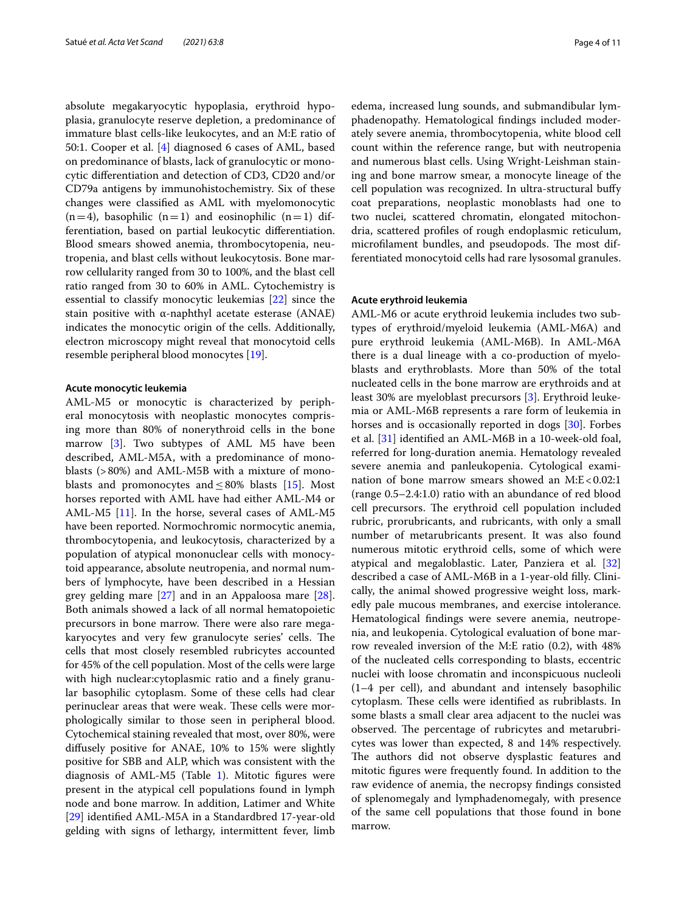absolute megakaryocytic hypoplasia, erythroid hypoplasia, granulocyte reserve depletion, a predominance of immature blast cells-like leukocytes, and an M:E ratio of 50:1. Cooper et al. [[4](#page-9-1)] diagnosed 6 cases of AML, based on predominance of blasts, lack of granulocytic or monocytic diferentiation and detection of CD3, CD20 and/or CD79a antigens by immunohistochemistry. Six of these changes were classifed as AML with myelomonocytic  $(n=4)$ , basophilic  $(n=1)$  and eosinophilic  $(n=1)$  differentiation, based on partial leukocytic diferentiation. Blood smears showed anemia, thrombocytopenia, neutropenia, and blast cells without leukocytosis. Bone marrow cellularity ranged from 30 to 100%, and the blast cell ratio ranged from 30 to 60% in AML. Cytochemistry is essential to classify monocytic leukemias [\[22](#page-9-23)] since the stain positive with α-naphthyl acetate esterase (ANAE) indicates the monocytic origin of the cells. Additionally, electron microscopy might reveal that monocytoid cells resemble peripheral blood monocytes [[19\]](#page-9-17).

#### **Acute monocytic leukemia**

AML-M5 or monocytic is characterized by peripheral monocytosis with neoplastic monocytes comprising more than 80% of nonerythroid cells in the bone marrow [[3\]](#page-9-13). Two subtypes of AML M5 have been described, AML-M5A, with a predominance of monoblasts (>80%) and AML-M5B with a mixture of monoblasts and promonocytes and  $\leq 80\%$  blasts [[15\]](#page-9-12). Most horses reported with AML have had either AML-M4 or AML-M5 [\[11](#page-9-24)]. In the horse, several cases of AML-M5 have been reported. Normochromic normocytic anemia, thrombocytopenia, and leukocytosis, characterized by a population of atypical mononuclear cells with monocytoid appearance, absolute neutropenia, and normal numbers of lymphocyte, have been described in a Hessian grey gelding mare [\[27](#page-9-25)] and in an Appaloosa mare [\[28](#page-9-26)]. Both animals showed a lack of all normal hematopoietic precursors in bone marrow. There were also rare megakaryocytes and very few granulocyte series' cells. The cells that most closely resembled rubricytes accounted for 45% of the cell population. Most of the cells were large with high nuclear:cytoplasmic ratio and a fnely granular basophilic cytoplasm. Some of these cells had clear perinuclear areas that were weak. These cells were morphologically similar to those seen in peripheral blood. Cytochemical staining revealed that most, over 80%, were difusely positive for ANAE, 10% to 15% were slightly positive for SBB and ALP, which was consistent with the diagnosis of AML-M5 (Table [1\)](#page-1-0). Mitotic figures were present in the atypical cell populations found in lymph node and bone marrow. In addition, Latimer and White [[29\]](#page-9-27) identifed AML-M5A in a Standardbred 17-year-old gelding with signs of lethargy, intermittent fever, limb

edema, increased lung sounds, and submandibular lymphadenopathy. Hematological fndings included moderately severe anemia, thrombocytopenia, white blood cell count within the reference range, but with neutropenia and numerous blast cells. Using Wright-Leishman staining and bone marrow smear, a monocyte lineage of the cell population was recognized. In ultra-structural bufy coat preparations, neoplastic monoblasts had one to two nuclei, scattered chromatin, elongated mitochondria, scattered profles of rough endoplasmic reticulum, microfilament bundles, and pseudopods. The most differentiated monocytoid cells had rare lysosomal granules.

## **Acute erythroid leukemia**

AML-M6 or acute erythroid leukemia includes two subtypes of erythroid/myeloid leukemia (AML-M6A) and pure erythroid leukemia (AML-M6B). In AML-M6A there is a dual lineage with a co-production of myeloblasts and erythroblasts. More than 50% of the total nucleated cells in the bone marrow are erythroids and at least 30% are myeloblast precursors [[3\]](#page-9-13). Erythroid leukemia or AML-M6B represents a rare form of leukemia in horses and is occasionally reported in dogs [[30](#page-9-28)]. Forbes et al. [[31\]](#page-9-29) identifed an AML-M6B in a 10-week-old foal, referred for long-duration anemia. Hematology revealed severe anemia and panleukopenia. Cytological examination of bone marrow smears showed an  $M: E < 0.02:1$ (range 0.5–2.4:1.0) ratio with an abundance of red blood cell precursors. The erythroid cell population included rubric, prorubricants, and rubricants, with only a small number of metarubricants present. It was also found numerous mitotic erythroid cells, some of which were atypical and megaloblastic. Later, Panziera et al. [[32](#page-9-30)] described a case of AML-M6B in a 1-year-old flly. Clinically, the animal showed progressive weight loss, markedly pale mucous membranes, and exercise intolerance. Hematological fndings were severe anemia, neutropenia, and leukopenia. Cytological evaluation of bone marrow revealed inversion of the M:E ratio (0.2), with 48% of the nucleated cells corresponding to blasts, eccentric nuclei with loose chromatin and inconspicuous nucleoli (1–4 per cell), and abundant and intensely basophilic cytoplasm. These cells were identified as rubriblasts. In some blasts a small clear area adjacent to the nuclei was observed. The percentage of rubricytes and metarubricytes was lower than expected, 8 and 14% respectively. The authors did not observe dysplastic features and mitotic fgures were frequently found. In addition to the raw evidence of anemia, the necropsy fndings consisted of splenomegaly and lymphadenomegaly, with presence of the same cell populations that those found in bone marrow.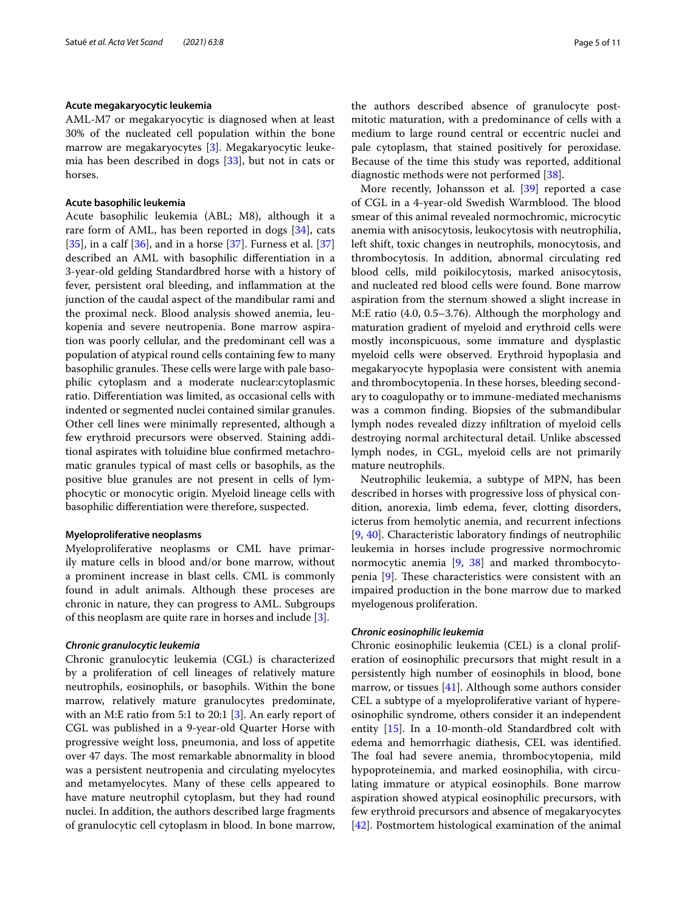#### **Acute megakaryocytic leukemia**

AML-M7 or megakaryocytic is diagnosed when at least 30% of the nucleated cell population within the bone marrow are megakaryocytes [[3\]](#page-9-13). Megakaryocytic leukemia has been described in dogs [[33\]](#page-9-31), but not in cats or horses.

#### **Acute basophilic leukemia**

Acute basophilic leukemia (ABL; M8), although it a rare form of AML, has been reported in dogs [[34\]](#page-9-32), cats [ $35$ ], in a calf [ $36$ ], and in a horse [ $37$ ]. Furness et al. [ $37$ ] described an AML with basophilic diferentiation in a 3-year-old gelding Standardbred horse with a history of fever, persistent oral bleeding, and infammation at the junction of the caudal aspect of the mandibular rami and the proximal neck. Blood analysis showed anemia, leukopenia and severe neutropenia. Bone marrow aspiration was poorly cellular, and the predominant cell was a population of atypical round cells containing few to many basophilic granules. These cells were large with pale basophilic cytoplasm and a moderate nuclear:cytoplasmic ratio. Diferentiation was limited, as occasional cells with indented or segmented nuclei contained similar granules. Other cell lines were minimally represented, although a few erythroid precursors were observed. Staining additional aspirates with toluidine blue confrmed metachromatic granules typical of mast cells or basophils, as the positive blue granules are not present in cells of lymphocytic or monocytic origin. Myeloid lineage cells with basophilic diferentiation were therefore, suspected.

#### **Myeloproliferative neoplasms**

Myeloproliferative neoplasms or CML have primarily mature cells in blood and/or bone marrow, without a prominent increase in blast cells. CML is commonly found in adult animals. Although these proceses are chronic in nature, they can progress to AML. Subgroups of this neoplasm are quite rare in horses and include [\[3](#page-9-13)].

#### *Chronic granulocytic leukemia*

Chronic granulocytic leukemia (CGL) is characterized by a proliferation of cell lineages of relatively mature neutrophils, eosinophils, or basophils. Within the bone marrow, relatively mature granulocytes predominate, with an M:E ratio from 5:1 to 20:1 [\[3](#page-9-13)]. An early report of CGL was published in a 9-year-old Quarter Horse with progressive weight loss, pneumonia, and loss of appetite over 47 days. The most remarkable abnormality in blood was a persistent neutropenia and circulating myelocytes and metamyelocytes. Many of these cells appeared to have mature neutrophil cytoplasm, but they had round nuclei. In addition, the authors described large fragments of granulocytic cell cytoplasm in blood. In bone marrow, the authors described absence of granulocyte postmitotic maturation, with a predominance of cells with a medium to large round central or eccentric nuclei and pale cytoplasm, that stained positively for peroxidase. Because of the time this study was reported, additional diagnostic methods were not performed [\[38](#page-9-36)].

More recently, Johansson et al. [\[39](#page-9-37)] reported a case of CGL in a 4-year-old Swedish Warmblood. The blood smear of this animal revealed normochromic, microcytic anemia with anisocytosis, leukocytosis with neutrophilia, left shift, toxic changes in neutrophils, monocytosis, and thrombocytosis. In addition, abnormal circulating red blood cells, mild poikilocytosis, marked anisocytosis, and nucleated red blood cells were found. Bone marrow aspiration from the sternum showed a slight increase in M:E ratio (4.0, 0.5–3.76). Although the morphology and maturation gradient of myeloid and erythroid cells were mostly inconspicuous, some immature and dysplastic myeloid cells were observed. Erythroid hypoplasia and megakaryocyte hypoplasia were consistent with anemia and thrombocytopenia. In these horses, bleeding secondary to coagulopathy or to immune-mediated mechanisms was a common fnding. Biopsies of the submandibular lymph nodes revealed dizzy infltration of myeloid cells destroying normal architectural detail. Unlike abscessed lymph nodes, in CGL, myeloid cells are not primarily mature neutrophils.

Neutrophilic leukemia, a subtype of MPN, has been described in horses with progressive loss of physical condition, anorexia, limb edema, fever, clotting disorders, icterus from hemolytic anemia, and recurrent infections [[9,](#page-9-6) [40\]](#page-9-38). Characteristic laboratory fndings of neutrophilic leukemia in horses include progressive normochromic normocytic anemia [\[9,](#page-9-6) [38\]](#page-9-36) and marked thrombocytopenia  $[9]$ . These characteristics were consistent with an impaired production in the bone marrow due to marked myelogenous proliferation.

#### *Chronic eosinophilic leukemia*

Chronic eosinophilic leukemia (CEL) is a clonal proliferation of eosinophilic precursors that might result in a persistently high number of eosinophils in blood, bone marrow, or tissues  $[41]$  $[41]$ . Although some authors consider CEL a subtype of a myeloproliferative variant of hypereosinophilic syndrome, others consider it an independent entity [[15\]](#page-9-12). In a 10-month-old Standardbred colt with edema and hemorrhagic diathesis, CEL was identifed. The foal had severe anemia, thrombocytopenia, mild hypoproteinemia, and marked eosinophilia, with circulating immature or atypical eosinophils. Bone marrow aspiration showed atypical eosinophilic precursors, with few erythroid precursors and absence of megakaryocytes [[42\]](#page-9-40). Postmortem histological examination of the animal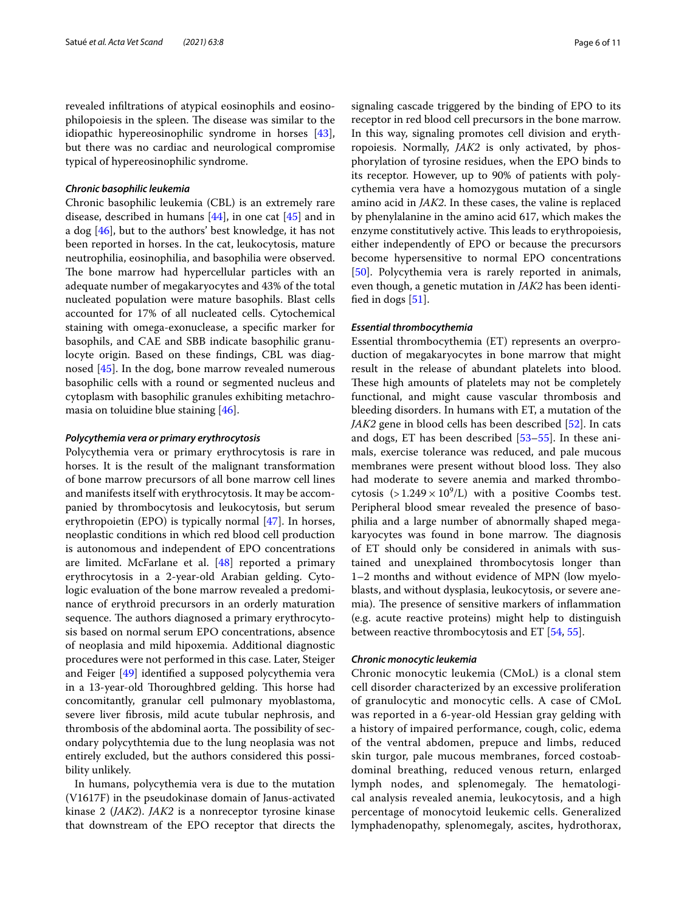revealed infltrations of atypical eosinophils and eosinophilopoiesis in the spleen. The disease was similar to the idiopathic hypereosinophilic syndrome in horses [\[43](#page-9-41)], but there was no cardiac and neurological compromise typical of hypereosinophilic syndrome.

#### *Chronic basophilic leukemia*

Chronic basophilic leukemia (CBL) is an extremely rare disease, described in humans [\[44](#page-9-42)], in one cat [\[45](#page-9-43)] and in a dog [\[46\]](#page-9-11), but to the authors' best knowledge, it has not been reported in horses. In the cat, leukocytosis, mature neutrophilia, eosinophilia, and basophilia were observed. The bone marrow had hypercellular particles with an adequate number of megakaryocytes and 43% of the total nucleated population were mature basophils. Blast cells accounted for 17% of all nucleated cells. Cytochemical staining with omega-exonuclease, a specifc marker for basophils, and CAE and SBB indicate basophilic granulocyte origin. Based on these fndings, CBL was diagnosed [\[45](#page-9-43)]. In the dog, bone marrow revealed numerous basophilic cells with a round or segmented nucleus and cytoplasm with basophilic granules exhibiting metachromasia on toluidine blue staining [\[46](#page-9-11)].

## *Polycythemia vera or primary erythrocytosis*

Polycythemia vera or primary erythrocytosis is rare in horses. It is the result of the malignant transformation of bone marrow precursors of all bone marrow cell lines and manifests itself with erythrocytosis. It may be accompanied by thrombocytosis and leukocytosis, but serum erythropoietin (EPO) is typically normal [\[47](#page-9-44)]. In horses, neoplastic conditions in which red blood cell production is autonomous and independent of EPO concentrations are limited. McFarlane et al. [\[48](#page-9-45)] reported a primary erythrocytosis in a 2-year-old Arabian gelding. Cytologic evaluation of the bone marrow revealed a predominance of erythroid precursors in an orderly maturation sequence. The authors diagnosed a primary erythrocytosis based on normal serum EPO concentrations, absence of neoplasia and mild hipoxemia. Additional diagnostic procedures were not performed in this case. Later, Steiger and Feiger [\[49](#page-9-46)] identifed a supposed polycythemia vera in a 13-year-old Thoroughbred gelding. This horse had concomitantly, granular cell pulmonary myoblastoma, severe liver fbrosis, mild acute tubular nephrosis, and thrombosis of the abdominal aorta. The possibility of secondary polycythtemia due to the lung neoplasia was not entirely excluded, but the authors considered this possibility unlikely.

In humans, polycythemia vera is due to the mutation (V1617F) in the pseudokinase domain of Janus-activated kinase 2 (*JAK2*). *JAK2* is a nonreceptor tyrosine kinase that downstream of the EPO receptor that directs the signaling cascade triggered by the binding of EPO to its receptor in red blood cell precursors in the bone marrow. In this way, signaling promotes cell division and erythropoiesis. Normally, *JAK2* is only activated, by phosphorylation of tyrosine residues, when the EPO binds to its receptor. However, up to 90% of patients with polycythemia vera have a homozygous mutation of a single amino acid in *JAK2*. In these cases, the valine is replaced by phenylalanine in the amino acid 617, which makes the enzyme constitutively active. This leads to erythropoiesis, either independently of EPO or because the precursors become hypersensitive to normal EPO concentrations [[50\]](#page-9-47). Polycythemia vera is rarely reported in animals, even though, a genetic mutation in *JAK2* has been identifed in dogs [\[51](#page-9-48)].

#### *Essential thrombocythemia*

Essential thrombocythemia (ET) represents an overproduction of megakaryocytes in bone marrow that might result in the release of abundant platelets into blood. These high amounts of platelets may not be completely functional, and might cause vascular thrombosis and bleeding disorders. In humans with ET, a mutation of the *JAK2* gene in blood cells has been described [[52\]](#page-9-49). In cats and dogs, ET has been described [[53–](#page-9-50)[55](#page-10-0)]. In these animals, exercise tolerance was reduced, and pale mucous membranes were present without blood loss. They also had moderate to severe anemia and marked thrombocytosis  $(>1.249 \times 10^9)$  with a positive Coombs test. Peripheral blood smear revealed the presence of basophilia and a large number of abnormally shaped megakaryocytes was found in bone marrow. The diagnosis of ET should only be considered in animals with sustained and unexplained thrombocytosis longer than 1–2 months and without evidence of MPN (low myeloblasts, and without dysplasia, leukocytosis, or severe anemia). The presence of sensitive markers of inflammation (e.g. acute reactive proteins) might help to distinguish between reactive thrombocytosis and ET [\[54](#page-10-1), [55\]](#page-10-0).

#### *Chronic monocytic leukemia*

Chronic monocytic leukemia (CMoL) is a clonal stem cell disorder characterized by an excessive proliferation of granulocytic and monocytic cells. A case of CMoL was reported in a 6-year-old Hessian gray gelding with a history of impaired performance, cough, colic, edema of the ventral abdomen, prepuce and limbs, reduced skin turgor, pale mucous membranes, forced costoabdominal breathing, reduced venous return, enlarged lymph nodes, and splenomegaly. The hematological analysis revealed anemia, leukocytosis, and a high percentage of monocytoid leukemic cells. Generalized lymphadenopathy, splenomegaly, ascites, hydrothorax,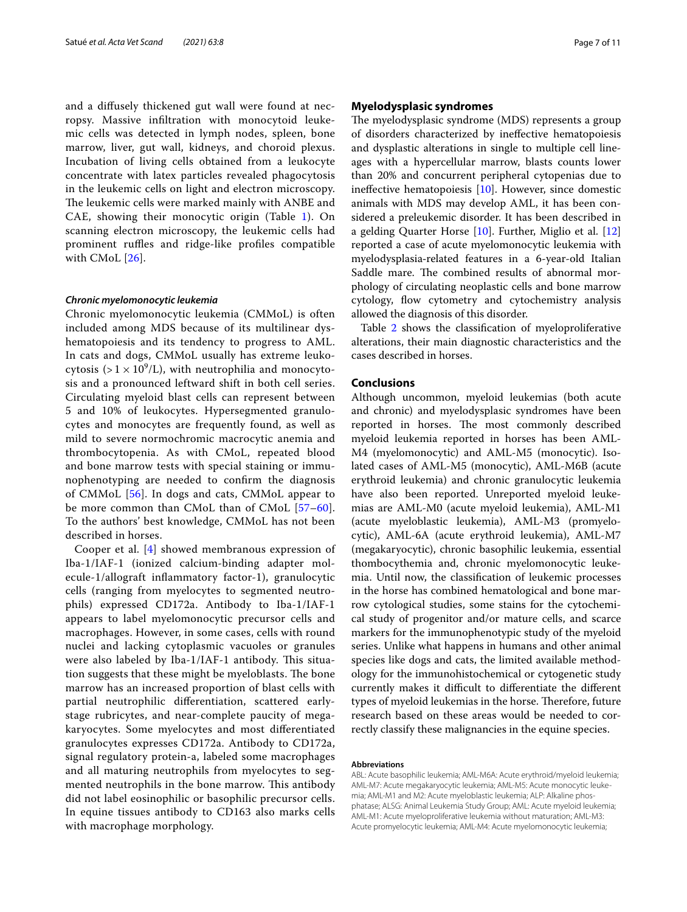and a difusely thickened gut wall were found at necropsy. Massive infltration with monocytoid leukemic cells was detected in lymph nodes, spleen, bone marrow, liver, gut wall, kidneys, and choroid plexus. Incubation of living cells obtained from a leukocyte concentrate with latex particles revealed phagocytosis in the leukemic cells on light and electron microscopy. The leukemic cells were marked mainly with ANBE and CAE, showing their monocytic origin (Table [1\)](#page-1-0). On scanning electron microscopy, the leukemic cells had prominent ruffles and ridge-like profiles compatible with CMoL [[26\]](#page-9-21).

#### *Chronic myelomonocytic leukemia*

Chronic myelomonocytic leukemia (CMMoL) is often included among MDS because of its multilinear dyshematopoiesis and its tendency to progress to AML. In cats and dogs, CMMoL usually has extreme leukocytosis (>  $1 \times 10^9$ /L), with neutrophilia and monocytosis and a pronounced leftward shift in both cell series. Circulating myeloid blast cells can represent between 5 and 10% of leukocytes. Hypersegmented granulocytes and monocytes are frequently found, as well as mild to severe normochromic macrocytic anemia and thrombocytopenia. As with CMoL, repeated blood and bone marrow tests with special staining or immunophenotyping are needed to confrm the diagnosis of CMMoL [[56](#page-10-2)]. In dogs and cats, CMMoL appear to be more common than CMoL than of CMoL [[57–](#page-10-3)[60\]](#page-10-4). To the authors' best knowledge, CMMoL has not been described in horses.

Cooper et al. [[4\]](#page-9-1) showed membranous expression of Iba-1/IAF-1 (ionized calcium-binding adapter molecule-1/allograft infammatory factor-1), granulocytic cells (ranging from myelocytes to segmented neutrophils) expressed CD172a. Antibody to Iba-1/IAF-1 appears to label myelomonocytic precursor cells and macrophages. However, in some cases, cells with round nuclei and lacking cytoplasmic vacuoles or granules were also labeled by Iba-1/IAF-1 antibody. This situation suggests that these might be myeloblasts. The bone marrow has an increased proportion of blast cells with partial neutrophilic diferentiation, scattered earlystage rubricytes, and near-complete paucity of megakaryocytes. Some myelocytes and most diferentiated granulocytes expresses CD172a. Antibody to CD172a, signal regulatory protein-a, labeled some macrophages and all maturing neutrophils from myelocytes to segmented neutrophils in the bone marrow. This antibody did not label eosinophilic or basophilic precursor cells. In equine tissues antibody to CD163 also marks cells with macrophage morphology.

#### **Myelodysplasic syndromes**

The myelodysplasic syndrome (MDS) represents a group of disorders characterized by inefective hematopoiesis and dysplastic alterations in single to multiple cell lineages with a hypercellular marrow, blasts counts lower than 20% and concurrent peripheral cytopenias due to inefective hematopoiesis [\[10\]](#page-9-7). However, since domestic animals with MDS may develop AML, it has been considered a preleukemic disorder. It has been described in a gelding Quarter Horse [[10](#page-9-7)]. Further, Miglio et al. [[12](#page-9-8)] reported a case of acute myelomonocytic leukemia with myelodysplasia‐related features in a 6-year-old Italian Saddle mare. The combined results of abnormal morphology of circulating neoplastic cells and bone marrow cytology, flow cytometry and cytochemistry analysis allowed the diagnosis of this disorder.

Table [2](#page-7-0) shows the classification of myeloproliferative alterations, their main diagnostic characteristics and the cases described in horses.

### **Conclusions**

Although uncommon, myeloid leukemias (both acute and chronic) and myelodysplasic syndromes have been reported in horses. The most commonly described myeloid leukemia reported in horses has been AML-M4 (myelomonocytic) and AML-M5 (monocytic). Isolated cases of AML-M5 (monocytic), AML-M6B (acute erythroid leukemia) and chronic granulocytic leukemia have also been reported. Unreported myeloid leukemias are AML-M0 (acute myeloid leukemia), AML-M1 (acute myeloblastic leukemia), AML-M3 (promyelocytic), AML-6A (acute erythroid leukemia), AML-M7 (megakaryocytic), chronic basophilic leukemia, essential thombocythemia and, chronic myelomonocytic leukemia. Until now, the classifcation of leukemic processes in the horse has combined hematological and bone marrow cytological studies, some stains for the cytochemical study of progenitor and/or mature cells, and scarce markers for the immunophenotypic study of the myeloid series. Unlike what happens in humans and other animal species like dogs and cats, the limited available methodology for the immunohistochemical or cytogenetic study currently makes it difficult to differentiate the different types of myeloid leukemias in the horse. Therefore, future research based on these areas would be needed to correctly classify these malignancies in the equine species.

#### **Abbreviations**

ABL: Acute basophilic leukemia; AML-M6A: Acute erythroid/myeloid leukemia; AML-M7: Acute megakaryocytic leukemia; AML-M5: Acute monocytic leukemia; AML-M1 and M2: Acute myeloblastic leukemia; ALP: Alkaline phosphatase; ALSG: Animal Leukemia Study Group; AML: Acute myeloid leukemia; AML-M1: Acute myeloproliferative leukemia without maturation; AML-M3: Acute promyelocytic leukemia; AML-M4: Acute myelomonocytic leukemia;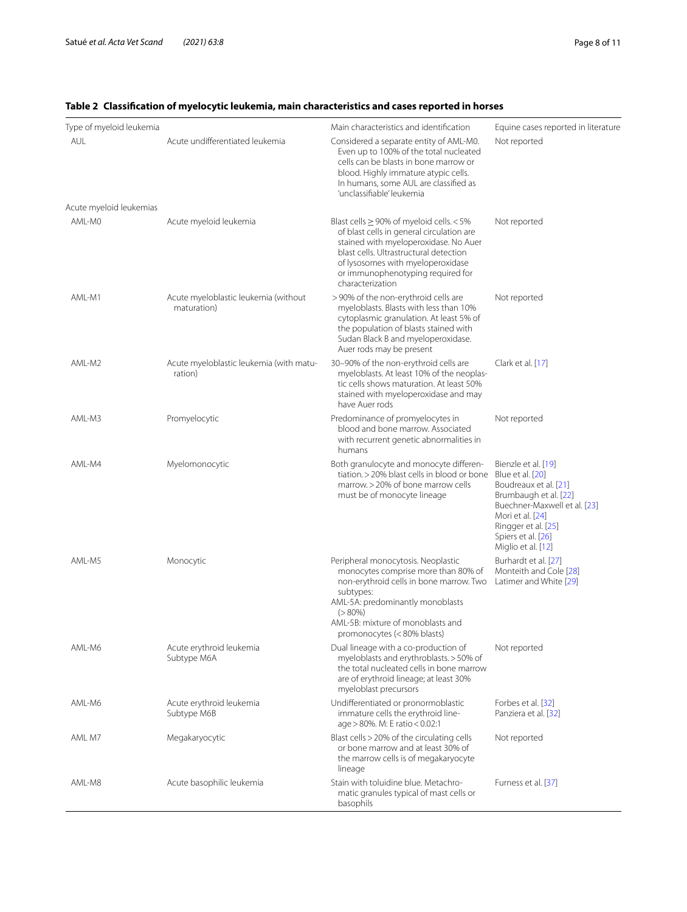| Type of myeloid leukemia |                                                     | Main characteristics and identification                                                                                                                                                                                                                                     | Equine cases reported in literature                                                                                                                                                                              |
|--------------------------|-----------------------------------------------------|-----------------------------------------------------------------------------------------------------------------------------------------------------------------------------------------------------------------------------------------------------------------------------|------------------------------------------------------------------------------------------------------------------------------------------------------------------------------------------------------------------|
| <b>AUL</b>               | Acute undifferentiated leukemia                     | Considered a separate entity of AML-M0.<br>Even up to 100% of the total nucleated<br>cells can be blasts in bone marrow or<br>blood. Highly immature atypic cells.<br>In humans, some AUL are classified as<br>'unclassifiable' leukemia                                    | Not reported                                                                                                                                                                                                     |
| Acute myeloid leukemias  |                                                     |                                                                                                                                                                                                                                                                             |                                                                                                                                                                                                                  |
| AML-MO                   | Acute myeloid leukemia                              | Blast cells $\geq$ 90% of myeloid cells. < 5%<br>of blast cells in general circulation are<br>stained with myeloperoxidase. No Auer<br>blast cells. Ultrastructural detection<br>of lysosomes with myeloperoxidase<br>or immunophenotyping required for<br>characterization | Not reported                                                                                                                                                                                                     |
| AML-M1                   | Acute myeloblastic leukemia (without<br>maturation) | >90% of the non-erythroid cells are<br>myeloblasts. Blasts with less than 10%<br>cytoplasmic granulation. At least 5% of<br>the population of blasts stained with<br>Sudan Black B and myeloperoxidase.<br>Auer rods may be present                                         | Not reported                                                                                                                                                                                                     |
| AML-M2                   | Acute myeloblastic leukemia (with matu-<br>ration)  | 30-90% of the non-erythroid cells are<br>myeloblasts. At least 10% of the neoplas-<br>tic cells shows maturation. At least 50%<br>stained with myeloperoxidase and may<br>have Auer rods                                                                                    | Clark et al. [17]                                                                                                                                                                                                |
| AMI-M3                   | Promyelocytic                                       | Predominance of promyelocytes in<br>blood and bone marrow. Associated<br>with recurrent genetic abnormalities in<br>humans                                                                                                                                                  | Not reported                                                                                                                                                                                                     |
| AML-M4                   | Myelomonocytic                                      | Both granulocyte and monocyte differen-<br>tiation. > 20% blast cells in blood or bone<br>marrow. > 20% of bone marrow cells<br>must be of monocyte lineage                                                                                                                 | Bienzle et al. [19]<br>Blue et al. [20]<br>Boudreaux et al. [21]<br>Brumbaugh et al. [22]<br>Buechner-Maxwell et al. [23]<br>Mori et al. [24]<br>Ringger et al. [25]<br>Spiers et al. [26]<br>Miglio et al. [12] |
| AML-M5                   | Monocytic                                           | Peripheral monocytosis. Neoplastic<br>monocytes comprise more than 80% of<br>non-erythroid cells in bone marrow. Two<br>subtypes:<br>AML-5A: predominantly monoblasts<br>$(>80\%)$<br>AML-5B: mixture of monoblasts and<br>promonocytes (<80% blasts)                       | Burhardt et al. [27]<br>Monteith and Cole [28]<br>Latimer and White [29]                                                                                                                                         |
| AML-M6                   | Acute erythroid leukemia<br>Subtype M6A             | Dual lineage with a co-production of<br>myeloblasts and erythroblasts. > 50% of<br>the total nucleated cells in bone marrow<br>are of erythroid lineage; at least 30%<br>myeloblast precursors                                                                              | Not reported                                                                                                                                                                                                     |
| AML-M6                   | Acute erythroid leukemia<br>Subtype M6B             | Undifferentiated or pronormoblastic<br>immature cells the erythroid line-<br>age > 80%. M: E ratio < 0.02:1                                                                                                                                                                 | Forbes et al. [32]<br>Panziera et al. [32]                                                                                                                                                                       |
| AML M7                   | Megakaryocytic                                      | Blast cells > 20% of the circulating cells<br>or bone marrow and at least 30% of<br>the marrow cells is of megakaryocyte<br>lineage                                                                                                                                         | Not reported                                                                                                                                                                                                     |
| AML-M8                   | Acute basophilic leukemia                           | Stain with toluidine blue. Metachro-<br>matic granules typical of mast cells or<br>basophils                                                                                                                                                                                | Furness et al. [37]                                                                                                                                                                                              |

## <span id="page-7-0"></span>**Table 2 Classifcation of myelocytic leukemia, main characteristics and cases reported in horses**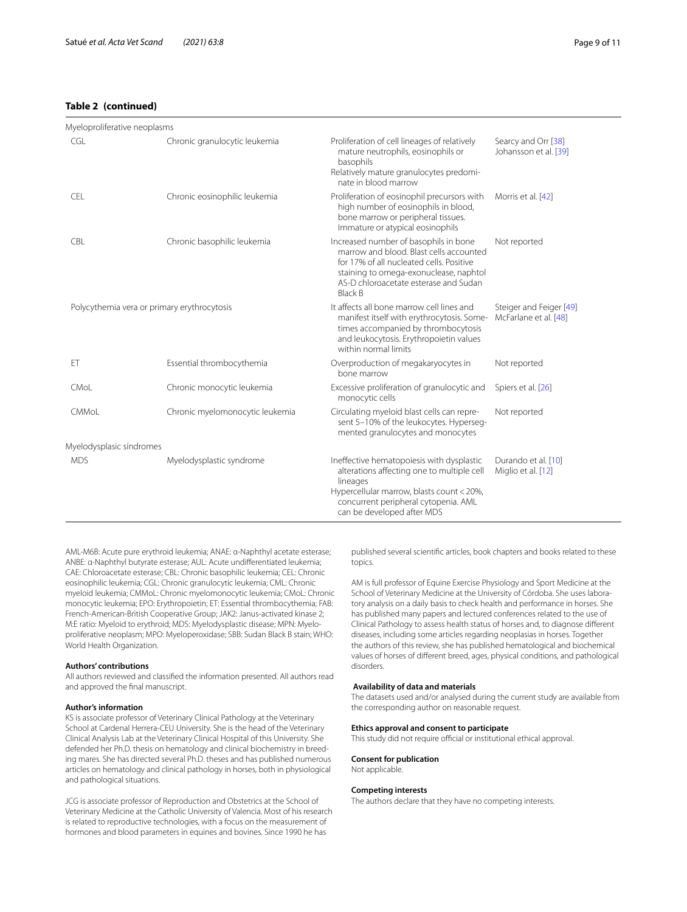## **Table 2 (continued)**

| Myeloproliferative neoplasms                |                                 |                                                                                                                                                                                                                                   |                                                  |
|---------------------------------------------|---------------------------------|-----------------------------------------------------------------------------------------------------------------------------------------------------------------------------------------------------------------------------------|--------------------------------------------------|
| CGL                                         | Chronic granulocytic leukemia   | Proliferation of cell lineages of relatively<br>mature neutrophils, eosinophils or<br>basophils<br>Relatively mature granulocytes predomi-<br>nate in blood marrow                                                                | Searcy and Orr [38]<br>Johansson et al. [39]     |
| <b>CEL</b>                                  | Chronic eosinophilic leukemia   | Proliferation of eosinophil precursors with<br>high number of eosinophils in blood,<br>bone marrow or peripheral tissues.<br>Immature or atypical eosinophils                                                                     | Morris et al. [42]                               |
| CBL                                         | Chronic basophilic leukemia     | Increased number of basophils in bone<br>marrow and blood. Blast cells accounted<br>for 17% of all nucleated cells. Positive<br>staining to omega-exonuclease, naphtol<br>AS-D chloroacetate esterase and Sudan<br><b>Black B</b> | Not reported                                     |
| Polycythemia vera or primary erythrocytosis |                                 | It affects all bone marrow cell lines and<br>manifest itself with erythrocytosis. Some-<br>times accompanied by thrombocytosis<br>and leukocytosis. Erythropoietin values<br>within normal limits                                 | Steiger and Feiger [49]<br>McFarlane et al. [48] |
| ET                                          | Essential thrombocythemia       | Overproduction of megakaryocytes in<br>bone marrow                                                                                                                                                                                | Not reported                                     |
| CMoL                                        | Chronic monocytic leukemia      | Excessive proliferation of granulocytic and<br>monocytic cells                                                                                                                                                                    | Spiers et al. [26]                               |
| CMMoL                                       | Chronic myelomonocytic leukemia | Circulating myeloid blast cells can repre-<br>sent 5-10% of the leukocytes. Hyperseq-<br>mented granulocytes and monocytes                                                                                                        | Not reported                                     |
| Myelodysplasic síndromes                    |                                 |                                                                                                                                                                                                                                   |                                                  |
| <b>MDS</b>                                  | Myelodysplastic syndrome        | Ineffective hematopoiesis with dysplastic<br>alterations affecting one to multiple cell<br>lineages<br>Hypercellular marrow, blasts count < 20%,<br>concurrent peripheral cytopenia. AML<br>can be developed after MDS            | Durando et al. [10]<br>Miglio et al. [12]        |

AML-M6B: Acute pure erythroid leukemia; ANAE: α-Naphthyl acetate esterase; ANBE: α-Naphthyl butyrate esterase; AUL: Acute undiferentiated leukemia; CAE: Chloroacetate esterase; CBL: Chronic basophilic leukemia; CEL: Chronic eosinophilic leukemia; CGL: Chronic granulocytic leukemia; CML: Chronic myeloid leukemia; CMMoL: Chronic myelomonocytic leukemia; CMoL: Chronic monocytic leukemia; EPO: Erythropoietin; ET: Essential thrombocythemia; FAB: French-American-British Cooperative Group; JAK2: Janus-activated kinase 2; M:E ratio: Myeloid to erythroid; MDS: Myelodysplastic disease; MPN: Myeloproliferative neoplasm; MPO: Myeloperoxidase; SBB: Sudan Black B stain; WHO: World Health Organization.

#### **Authors' contributions**

All authors reviewed and classifed the information presented. All authors read and approved the fnal manuscript.

#### **Author's information**

KS is associate professor of Veterinary Clinical Pathology at the Veterinary School at Cardenal Herrera-CEU University. She is the head of the Veterinary Clinical Analysis Lab at the Veterinary Clinical Hospital of this University. She defended her Ph.D. thesis on hematology and clinical biochemistry in breeding mares. She has directed several Ph.D. theses and has published numerous articles on hematology and clinical pathology in horses, both in physiological and pathological situations.

JCG is associate professor of Reproduction and Obstetrics at the School of Veterinary Medicine at the Catholic University of Valencia. Most of his research is related to reproductive technologies, with a focus on the measurement of hormones and blood parameters in equines and bovines. Since 1990 he has

published several scientifc articles, book chapters and books related to these topics.

AM is full professor of Equine Exercise Physiology and Sport Medicine at the School of Veterinary Medicine at the University of Córdoba. She uses laboratory analysis on a daily basis to check health and performance in horses. She has published many papers and lectured conferences related to the use of Clinical Pathology to assess health status of horses and, to diagnose diferent diseases, including some articles regarding neoplasias in horses. Together the authors of this review, she has published hematological and biochemical values of horses of diferent breed, ages, physical conditions, and pathological disorders.

#### **Availability of data and materials**

The datasets used and/or analysed during the current study are available from the corresponding author on reasonable request.

#### **Ethics approval and consent to participate**

This study did not require official or institutional ethical approval.

## **Consent for publication**

Not applicable.

#### **Competing interests**

The authors declare that they have no competing interests.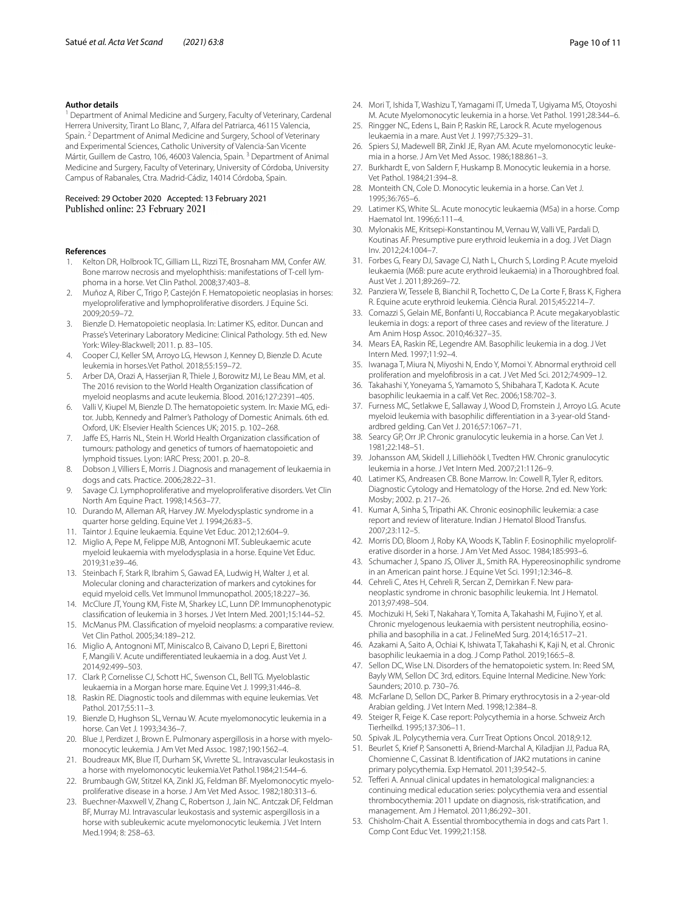#### **Author details**

<sup>1</sup> Department of Animal Medicine and Surgery, Faculty of Veterinary, Cardenal Herrera University, Tirant Lo Blanc, 7, Alfara del Patriarca, 46115 Valencia, Spain. 2 Department of Animal Medicine and Surgery, School of Veterinary and Experimental Sciences, Catholic University of Valencia-San Vicente Mártir, Guillem de Castro, 106, 46003 Valencia, Spain.<sup>3</sup> Department of Animal Medicine and Surgery, Faculty of Veterinary, University of Córdoba, University Campus of Rabanales, Ctra. Madrid-Cádiz, 14014 Córdoba, Spain.

#### Received: 29 October 2020 Accepted: 13 February 2021 Published online: 23 February 2021

#### **References**

- <span id="page-9-0"></span>1. Kelton DR, Holbrook TC, Gilliam LL, Rizzi TE, Brosnaham MM, Confer AW. Bone marrow necrosis and myelophthisis: manifestations of T-cell lymphoma in a horse. Vet Clin Pathol. 2008;37:403–8.
- 2. Muñoz A, Riber C, Trigo P, Castejón F. Hematopoietic neoplasias in horses: myeloproliferative and lymphoproliferative disorders. J Equine Sci. 2009;20:59–72.
- <span id="page-9-13"></span>3. Bienzle D. Hematopoietic neoplasia. In: Latimer KS, editor. Duncan and Prasse's Veterinary Laboratory Medicine: Clinical Pathology. 5th ed. New York: Wiley-Blackwell; 2011. p. 83–105.
- <span id="page-9-1"></span>4. Cooper CJ, Keller SM, Arroyo LG, Hewson J, Kenney D, Bienzle D. Acute leukemia in horses.Vet Pathol*.* 2018;55:159–72.
- <span id="page-9-2"></span>5. Arber DA, Orazi A, Hasserjian R, Thiele J, Borowitz MJ, Le Beau MM, et al. The 2016 revision to the World Health Organization classifcation of myeloid neoplasms and acute leukemia. Blood. 2016;127:2391–405.
- <span id="page-9-3"></span>Valli V, Kiupel M, Bienzle D. The hematopoietic system. In: Maxie MG, editor. Jubb, Kennedy and Palmer's Pathology of Domestic Animals. 6th ed. Oxford, UK: Elsevier Health Sciences UK; 2015. p. 102–268.
- <span id="page-9-4"></span>7. Jafe ES, Harris NL, Stein H. World Health Organization classifcation of tumours: pathology and genetics of tumors of haematopoietic and lymphoid tissues. Lyon: IARC Press; 2001. p. 20–8.
- <span id="page-9-5"></span>8. Dobson J, Villiers E, Morris J. Diagnosis and management of leukaemia in dogs and cats. Practice. 2006;28:22–31.
- <span id="page-9-6"></span>9. Savage CJ. Lymphoproliferative and myeloproliferative disorders. Vet Clin North Am Equine Pract. 1998;14:563–77.
- <span id="page-9-7"></span>10. Durando M, Alleman AR, Harvey JW. Myelodysplastic syndrome in a quarter horse gelding. Equine Vet J. 1994;26:83–5.
- <span id="page-9-24"></span>11. Taintor J. Equine leukaemia. Equine Vet Educ. 2012;12:604–9.
- <span id="page-9-8"></span>12. Miglio A, Pepe M, Felippe MJB, Antognoni MT. Subleukaemic acute myeloid leukaemia with myelodysplasia in a horse. Equine Vet Educ. 2019;31:e39–46.
- <span id="page-9-9"></span>13. Steinbach F, Stark R, Ibrahim S, Gawad EA, Ludwig H, Walter J, et al. Molecular cloning and characterization of markers and cytokines for equid myeloid cells. Vet Immunol Immunopathol. 2005;18:227–36.
- <span id="page-9-10"></span>14. McClure JT, Young KM, Fiste M, Sharkey LC, Lunn DP. Immunophenotypic classifcation of leukemia in 3 horses. J Vet Intern Med. 2001;15:144–52.
- <span id="page-9-12"></span>15. McManus PM. Classifcation of myeloid neoplasms: a comparative review. Vet Clin Pathol. 2005;34:189–212.
- <span id="page-9-14"></span>16. Miglio A, Antognoni MT, Miniscalco B, Caivano D, Lepri E, Birettoni F, Mangili V. Acute undiferentiated leukaemia in a dog. Aust Vet J. 2014;92:499–503.
- <span id="page-9-15"></span>17. Clark P, Cornelisse CJ, Schott HC, Swenson CL, Bell TG. Myeloblastic leukaemia in a Morgan horse mare. Equine Vet J. 1999;31:446–8.
- <span id="page-9-16"></span>18. Raskin RE. Diagnostic tools and dilemmas with equine leukemias. Vet Pathol. 2017;55:11–3.
- <span id="page-9-17"></span>19. Bienzle D, Hughson SL, Vernau W. Acute myelomonocytic leukemia in a horse. Can Vet J. 1993;34:36–7.
- <span id="page-9-51"></span>20. Blue J, Perdizet J, Brown E. Pulmonary aspergillosis in a horse with myelomonocytic leukemia. J Am Vet Med Assoc. 1987;190:1562–4.
- <span id="page-9-19"></span>21. Boudreaux MK, Blue IT, Durham SK, Vivrette SL. Intravascular leukostasis in a horse with myelomonocytic leukemia.Vet Pathol.1984;21:544–6.
- <span id="page-9-23"></span>22. Brumbaugh GW, Stitzel KA, Zinkl JG, Feldman BF. Myelomonocytic myeloproliferative disease in a horse. J Am Vet Med Assoc. 1982;180:313–6.
- <span id="page-9-22"></span>23. Buechner-Maxwell V, Zhang C, Robertson J, Jain NC. Antczak DF, Feldman BF, Murray MJ. Intravascular leukostasis and systemic aspergillosis in a horse with subleukemic acute myelomonocytic leukemia*.* J Vet Intern Med.1994; 8: 258–63.
- <span id="page-9-18"></span>24. Mori T, Ishida T, Washizu T, Yamagami IT, Umeda T, Ugiyama MS, Otoyoshi M. Acute Myelomonocytic leukemia in a horse. Vet Pathol. 1991;28:344–6.
- <span id="page-9-20"></span>25. Ringger NC, Edens L, Bain P, Raskin RE, Larock R. Acute myelogenous leukaemia in a mare. Aust Vet J. 1997;75:329–31.
- <span id="page-9-21"></span>26. Spiers SJ, Madewell BR, Zinkl JE, Ryan AM. Acute myelomonocytic leukemia in a horse. J Am Vet Med Assoc. 1986;188:861–3.
- <span id="page-9-25"></span>27. Burkhardt E, von Saldern F, Huskamp B. Monocytic leukemia in a horse. Vet Pathol. 1984;21:394–8.
- <span id="page-9-26"></span>28. Monteith CN, Cole D. Monocytic leukemia in a horse. Can Vet J. 1995;36:765–6.
- <span id="page-9-27"></span>29. Latimer KS, White SL. Acute monocytic leukaemia (M5a) in a horse. Comp Haematol Int. 1996;6:111–4.
- <span id="page-9-28"></span>30. Mylonakis ME, Kritsepi-Konstantinou M, Vernau W, Valli VE, Pardali D, Koutinas AF. Presumptive pure erythroid leukemia in a dog. J Vet Diagn Inv. 2012;24:1004–7.
- <span id="page-9-29"></span>31. Forbes G, Feary DJ, Savage CJ, Nath L, Church S, Lording P. Acute myeloid leukaemia (M6B: pure acute erythroid leukaemia) in a Thoroughbred foal. Aust Vet J. 2011;89:269–72.
- <span id="page-9-30"></span>32. Panziera W, Tessele B, BianchiI R, Tochetto C, De La Corte F, Brass K, Fighera R. Equine acute erythroid leukemia. Ciência Rural. 2015;45:2214–7.
- <span id="page-9-31"></span>33. Comazzi S, Gelain ME, Bonfanti U, Roccabianca P. Acute megakaryoblastic leukemia in dogs: a report of three cases and review of the literature. J Am Anim Hosp Assoc. 2010;46:327–35.
- <span id="page-9-32"></span>34. Mears EA, Raskin RE, Legendre AM. Basophilic leukemia in a dog. J Vet Intern Med. 1997;11:92–4.
- <span id="page-9-33"></span>35. Iwanaga T, Miura N, Miyoshi N, Endo Y, Momoi Y. Abnormal erythroid cell proliferation and myelofbrosis in a cat. J Vet Med Sci. 2012;74:909–12.
- <span id="page-9-34"></span>36. Takahashi Y, Yoneyama S, Yamamoto S, Shibahara T, Kadota K. Acute basophilic leukaemia in a calf. Vet Rec. 2006;158:702–3.
- <span id="page-9-35"></span>37. Furness MC, Setlakwe E, Sallaway J, Wood D, Fromstein J, Arroyo LG. Acute myeloid leukemia with basophilic diferentiation in a 3-year-old Standardbred gelding. Can Vet J. 2016;57:1067–71.
- <span id="page-9-36"></span>38. Searcy GP, Orr JP. Chronic granulocytic leukemia in a horse. Can Vet J. 1981;22:148–51.
- <span id="page-9-37"></span>39. Johansson AM, Skidell J, Lilliehöök I, Tvedten HW. Chronic granulocytic leukemia in a horse. J Vet Intern Med. 2007;21:1126–9.
- <span id="page-9-38"></span>40. Latimer KS, Andreasen CB. Bone Marrow. In: Cowell R, Tyler R, editors. Diagnostic Cytology and Hematology of the Horse. 2nd ed. New York: Mosby; 2002. p. 217–26.
- <span id="page-9-39"></span>41. Kumar A, Sinha S, Tripathi AK. Chronic eosinophilic leukemia: a case report and review of literature. Indian J Hematol Blood Transfus. 2007;23:112–5.
- <span id="page-9-40"></span>42. Morris DD, Bloom J, Roby KA, Woods K, Tablin F. Eosinophilic myeloproliferative disorder in a horse. J Am Vet Med Assoc. 1984;185:993–6.
- <span id="page-9-41"></span>43. Schumacher J, Spano JS, Oliver JL, Smith RA. Hypereosinophilic syndrome in an American paint horse. J Equine Vet Sci. 1991;12:346–8.
- <span id="page-9-42"></span>44. Cehreli C, Ates H, Cehreli R, Sercan Z, Demirkan F. New paraneoplastic syndrome in chronic basophilic leukemia. Int J Hematol. 2013;97:498–504.
- <span id="page-9-43"></span>45. Mochizuki H, Seki T, Nakahara Y, Tomita A, Takahashi M, Fujino Y, et al. Chronic myelogenous leukaemia with persistent neutrophilia, eosinophilia and basophilia in a cat. J FelineMed Surg. 2014;16:517–21.
- <span id="page-9-11"></span>46. Azakami A, Saito A, Ochiai K, Ishiwata T, Takahashi K, Kaji N, et al. Chronic basophilic leukaemia in a dog. J Comp Pathol. 2019;166:5–8.
- <span id="page-9-44"></span>47. Sellon DC, Wise LN. Disorders of the hematopoietic system. In: Reed SM, Bayly WM, Sellon DC 3rd, editors. Equine Internal Medicine. New York: Saunders; 2010. p. 730–76.
- <span id="page-9-45"></span>48. McFarlane D, Sellon DC, Parker B. Primary erythrocytosis in a 2-year-old Arabian gelding. J Vet Intern Med. 1998;12:384–8.
- <span id="page-9-46"></span>49. Steiger R, Feige K. Case report: Polycythemia in a horse. Schweiz Arch Tierheilkd. 1995;137:306–11.
- <span id="page-9-47"></span>50. Spivak JL. Polycythemia vera. Curr Treat Options Oncol. 2018;9:12.
- <span id="page-9-48"></span>51. Beurlet S, Krief P, Sansonetti A, Briend-Marchal A, Kiladjian JJ, Padua RA, Chomienne C, Cassinat B. Identifcation of JAK2 mutations in canine primary polycythemia. Exp Hematol. 2011;39:542–5.
- <span id="page-9-49"></span>52. Teferi A. Annual clinical updates in hematological malignancies: a continuing medical education series: polycythemia vera and essential thrombocythemia: 2011 update on diagnosis, risk-stratifcation, and management. Am J Hematol. 2011;86:292–301.
- <span id="page-9-50"></span>53. Chisholm-Chait A. Essential thrombocythemia in dogs and cats Part 1. Comp Cont Educ Vet. 1999;21:158.